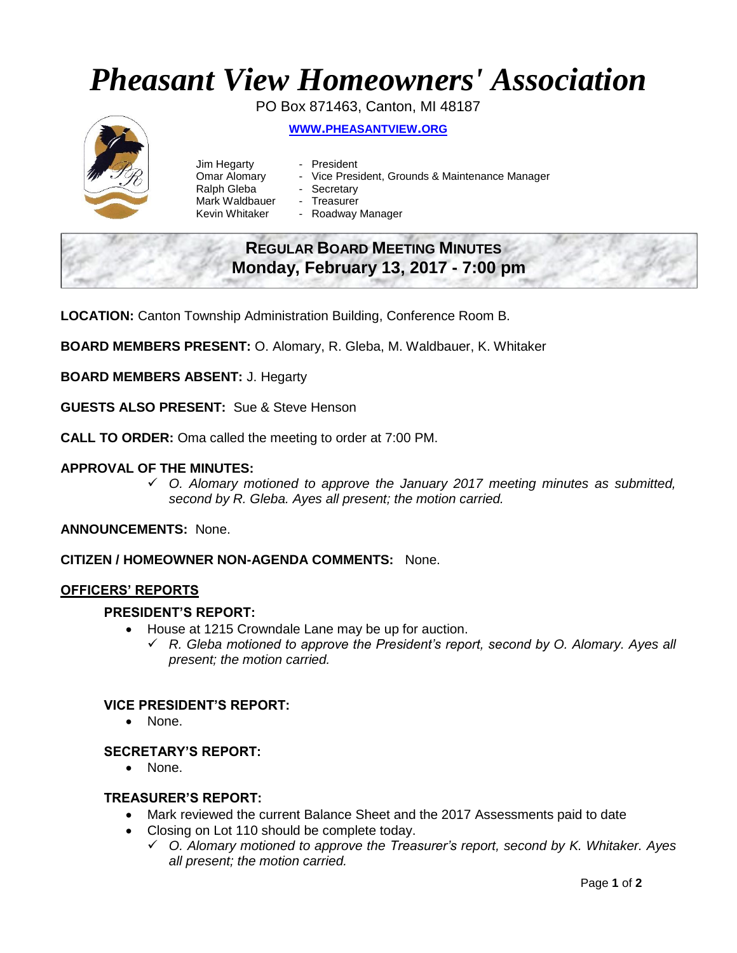# *Pheasant View Homeowners' Association*

PO Box 871463, Canton, MI 48187



**WWW.[PHEASANTVIEW](http://www.pheasantview.org/).ORG**

- Jim Hegarty President
	-
- Omar Alomary Vice President, Grounds & Maintenance Manager
- Ralph Gleba Secretary
- Mark Waldbauer Treasurer
- Kevin Whitaker Roadway Manager

# **REGULAR BOARD MEETING MINUTES Monday, February 13, 2017 - 7:00 pm**

**LOCATION:** Canton Township Administration Building, Conference Room B.

**BOARD MEMBERS PRESENT:** O. Alomary, R. Gleba, M. Waldbauer, K. Whitaker

**BOARD MEMBERS ABSENT:** J. Hegarty

**GUESTS ALSO PRESENT:** Sue & Steve Henson

**CALL TO ORDER:** Oma called the meeting to order at 7:00 PM.

# **APPROVAL OF THE MINUTES:**

 *O. Alomary motioned to approve the January 2017 meeting minutes as submitted, second by R. Gleba. Ayes all present; the motion carried.*

**ANNOUNCEMENTS:** None.

**CITIZEN / HOMEOWNER NON-AGENDA COMMENTS:** None.

# **OFFICERS' REPORTS**

#### **PRESIDENT'S REPORT:**

- House at 1215 Crowndale Lane may be up for auction.
	- *R. Gleba motioned to approve the President's report, second by O. Alomary. Ayes all present; the motion carried.*

# **VICE PRESIDENT'S REPORT:**

• None.

# **SECRETARY'S REPORT:**

• None.

# **TREASURER'S REPORT:**

- Mark reviewed the current Balance Sheet and the 2017 Assessments paid to date
- Closing on Lot 110 should be complete today.
	- *O. Alomary motioned to approve the Treasurer's report, second by K. Whitaker. Ayes all present; the motion carried.*